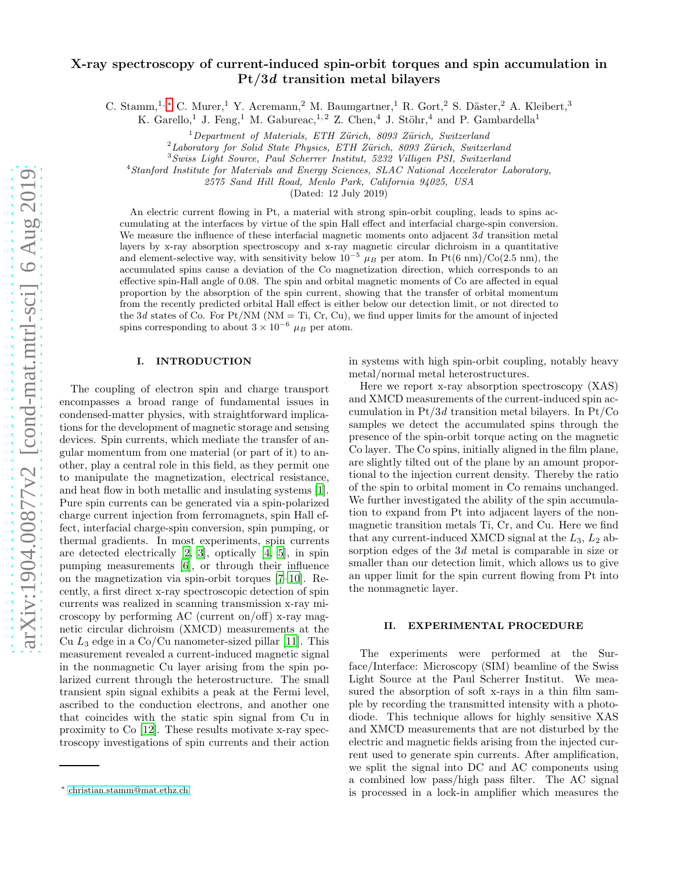# X-ray spectroscopy of current-induced spin-orbit torques and spin accumulation in Pt/3d transition metal bilayers

C. Stamm,<sup>1,[∗](#page-0-0)</sup> C. Murer,<sup>1</sup> Y. Acremann,<sup>2</sup> M. Baumgartner,<sup>1</sup> R. Gort,<sup>2</sup> S. Däster,<sup>2</sup> A. Kleibert,<sup>3</sup>

K. Garello,<sup>1</sup> J. Feng,<sup>1</sup> M. Gabureac,<sup>1,2</sup> Z. Chen,<sup>4</sup> J. Stöhr,<sup>4</sup> and P. Gambardella<sup>1</sup>

 $1$ Department of Materials, ETH Zürich, 8093 Zürich, Switzerland

 $2$ Laboratory for Solid State Physics, ETH Zürich, 8093 Zürich, Switzerland

<sup>3</sup>Swiss Light Source, Paul Scherrer Institut, 5232 Villigen PSI, Switzerland

<sup>4</sup>Stanford Institute for Materials and Energy Sciences, SLAC National Accelerator Laboratory,

2575 Sand Hill Road, Menlo Park, California 94025, USA

(Dated: 12 July 2019)

An electric current flowing in Pt, a material with strong spin-orbit coupling, leads to spins accumulating at the interfaces by virtue of the spin Hall effect and interfacial charge-spin conversion. We measure the influence of these interfacial magnetic moments onto adjacent 3d transition metal layers by x-ray absorption spectroscopy and x-ray magnetic circular dichroism in a quantitative and element-selective way, with sensitivity below  $10^{-5}$   $\mu_B$  per atom. In Pt(6 nm)/Co(2.5 nm), the accumulated spins cause a deviation of the Co magnetization direction, which corresponds to an effective spin-Hall angle of 0.08. The spin and orbital magnetic moments of Co are affected in equal proportion by the absorption of the spin current, showing that the transfer of orbital momentum from the recently predicted orbital Hall effect is either below our detection limit, or not directed to the 3d states of Co. For Pt/NM ( $NM = Ti$ , Cr, Cu), we find upper limits for the amount of injected spins corresponding to about  $3 \times 10^{-6}$   $\mu_B$  per atom.

## I. INTRODUCTION

The coupling of electron spin and charge transport encompasses a broad range of fundamental issues in condensed-matter physics, with straightforward implications for the development of magnetic storage and sensing devices. Spin currents, which mediate the transfer of angular momentum from one material (or part of it) to another, play a central role in this field, as they permit one to manipulate the magnetization, electrical resistance, and heat flow in both metallic and insulating systems [\[1\]](#page-7-0). Pure spin currents can be generated via a spin-polarized charge current injection from ferromagnets, spin Hall effect, interfacial charge-spin conversion, spin pumping, or thermal gradients. In most experiments, spin currents are detected electrically [\[2,](#page-7-1) [3\]](#page-7-2), optically [\[4](#page-7-3), [5\]](#page-7-4), in spin pumping measurements [\[6](#page-7-5)], or through their influence on the magnetization via spin-orbit torques [\[7](#page-7-6)[–10\]](#page-7-7). Recently, a first direct x-ray spectroscopic detection of spin currents was realized in scanning transmission x-ray microscopy by performing AC (current on/off) x-ray magnetic circular dichroism (XMCD) measurements at the Cu  $L_3$  edge in a Co/Cu nanometer-sized pillar [\[11\]](#page-7-8). This measurement revealed a current-induced magnetic signal in the nonmagnetic Cu layer arising from the spin polarized current through the heterostructure. The small transient spin signal exhibits a peak at the Fermi level, ascribed to the conduction electrons, and another one that coincides with the static spin signal from Cu in proximity to Co [\[12\]](#page-7-9). These results motivate x-ray spectroscopy investigations of spin currents and their action in systems with high spin-orbit coupling, notably heavy metal/normal metal heterostructures.

Here we report x-ray absorption spectroscopy (XAS) and XMCD measurements of the current-induced spin accumulation in Pt/3d transition metal bilayers. In Pt/Co samples we detect the accumulated spins through the presence of the spin-orbit torque acting on the magnetic Co layer. The Co spins, initially aligned in the film plane, are slightly tilted out of the plane by an amount proportional to the injection current density. Thereby the ratio of the spin to orbital moment in Co remains unchanged. We further investigated the ability of the spin accumulation to expand from Pt into adjacent layers of the nonmagnetic transition metals Ti, Cr, and Cu. Here we find that any current-induced XMCD signal at the  $L_3$ ,  $L_2$  absorption edges of the 3d metal is comparable in size or smaller than our detection limit, which allows us to give an upper limit for the spin current flowing from Pt into the nonmagnetic layer.

### II. EXPERIMENTAL PROCEDURE

The experiments were performed at the Surface/Interface: Microscopy (SIM) beamline of the Swiss Light Source at the Paul Scherrer Institut. We measured the absorption of soft x-rays in a thin film sample by recording the transmitted intensity with a photodiode. This technique allows for highly sensitive XAS and XMCD measurements that are not disturbed by the electric and magnetic fields arising from the injected current used to generate spin currents. After amplification, we split the signal into DC and AC components using a combined low pass/high pass filter. The AC signal is processed in a lock-in amplifier which measures the

<span id="page-0-0"></span><sup>∗</sup> [christian.stamm@mat.ethz.ch](mailto:christian.stamm@mat.ethz.ch)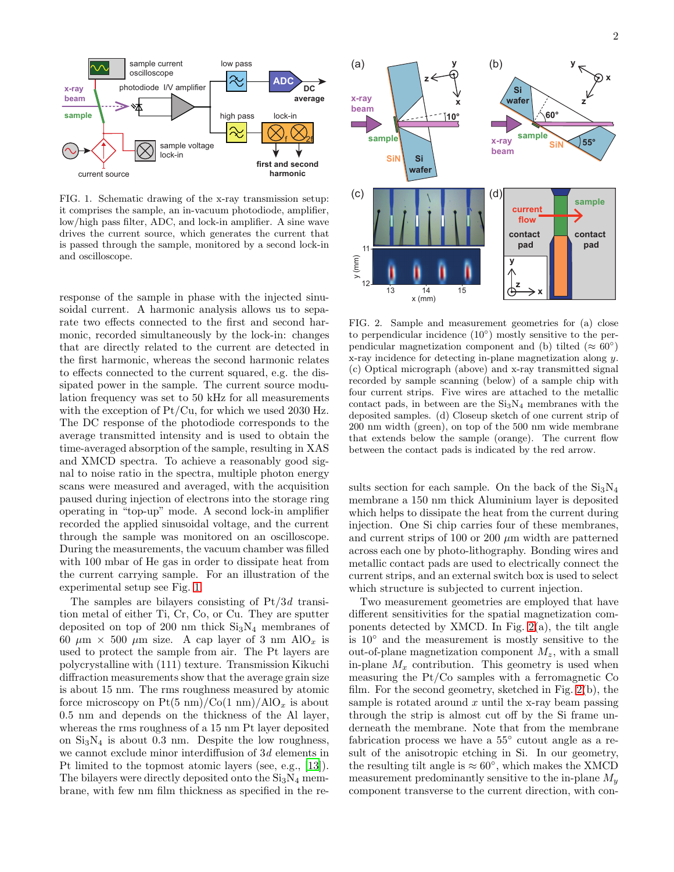

<span id="page-1-0"></span>FIG. 1. Schematic drawing of the x-ray transmission setup: it comprises the sample, an in-vacuum photodiode, amplifier, low/high pass filter, ADC, and lock-in amplifier. A sine wave drives the current source, which generates the current that is passed through the sample, monitored by a second lock-in and oscilloscope.

response of the sample in phase with the injected sinusoidal current. A harmonic analysis allows us to separate two effects connected to the first and second harmonic, recorded simultaneously by the lock-in: changes that are directly related to the current are detected in the first harmonic, whereas the second harmonic relates to effects connected to the current squared, e.g. the dissipated power in the sample. The current source modulation frequency was set to 50 kHz for all measurements with the exception of Pt/Cu, for which we used 2030 Hz. The DC response of the photodiode corresponds to the average transmitted intensity and is used to obtain the time-averaged absorption of the sample, resulting in XAS and XMCD spectra. To achieve a reasonably good signal to noise ratio in the spectra, multiple photon energy scans were measured and averaged, with the acquisition paused during injection of electrons into the storage ring operating in "top-up" mode. A second lock-in amplifier recorded the applied sinusoidal voltage, and the current through the sample was monitored on an oscilloscope. During the measurements, the vacuum chamber was filled with 100 mbar of He gas in order to dissipate heat from the current carrying sample. For an illustration of the experimental setup see Fig. [1.](#page-1-0)

The samples are bilayers consisting of  $Pt/3d$  transition metal of either Ti, Cr, Co, or Cu. They are sputter deposited on top of 200 nm thick  $Si<sub>3</sub>N<sub>4</sub>$  membranes of 60  $\mu$ m × 500  $\mu$ m size. A cap layer of 3 nm AlO<sub>x</sub> is used to protect the sample from air. The Pt layers are polycrystalline with (111) texture. Transmission Kikuchi diffraction measurements show that the average grain size is about 15 nm. The rms roughness measured by atomic force microscopy on  $Pt(5 \text{ nm})/Co(1 \text{ nm})/AlO_x$  is about 0.5 nm and depends on the thickness of the Al layer, whereas the rms roughness of a 15 nm Pt layer deposited on  $Si_3N_4$  is about 0.3 nm. Despite the low roughness, we cannot exclude minor interdiffusion of 3d elements in Pt limited to the topmost atomic layers (see, e.g., [\[13\]](#page-7-10)). The bilayers were directly deposited onto the  $Si<sub>3</sub>N<sub>4</sub>$  membrane, with few nm film thickness as specified in the re-



<span id="page-1-1"></span>FIG. 2. Sample and measurement geometries for (a) close to perpendicular incidence (10◦ ) mostly sensitive to the perpendicular magnetization component and (b) tilted ( $\approx 60^{\circ}$ ) x-ray incidence for detecting in-plane magnetization along y. (c) Optical micrograph (above) and x-ray transmitted signal recorded by sample scanning (below) of a sample chip with four current strips. Five wires are attached to the metallic contact pads, in between are the  $Si<sub>3</sub>N<sub>4</sub>$  membranes with the deposited samples. (d) Closeup sketch of one current strip of 200 nm width (green), on top of the 500 nm wide membrane that extends below the sample (orange). The current flow between the contact pads is indicated by the red arrow.

sults section for each sample. On the back of the  $Si<sub>3</sub>N<sub>4</sub>$ membrane a 150 nm thick Aluminium layer is deposited which helps to dissipate the heat from the current during injection. One Si chip carries four of these membranes, and current strips of 100 or 200  $\mu$ m width are patterned across each one by photo-lithography. Bonding wires and metallic contact pads are used to electrically connect the current strips, and an external switch box is used to select which structure is subjected to current injection.

Two measurement geometries are employed that have different sensitivities for the spatial magnetization components detected by XMCD. In Fig.  $2(a)$ , the tilt angle is 10◦ and the measurement is mostly sensitive to the out-of-plane magnetization component  $M_z$ , with a small in-plane  $M_x$  contribution. This geometry is used when measuring the Pt/Co samples with a ferromagnetic Co film. For the second geometry, sketched in Fig. [2\(](#page-1-1)b), the sample is rotated around  $x$  until the x-ray beam passing through the strip is almost cut off by the Si frame underneath the membrane. Note that from the membrane fabrication process we have a  $55^{\circ}$  cutout angle as a result of the anisotropic etching in Si. In our geometry, the resulting tilt angle is  $\approx 60^{\circ}$ , which makes the XMCD measurement predominantly sensitive to the in-plane  $M_u$ component transverse to the current direction, with con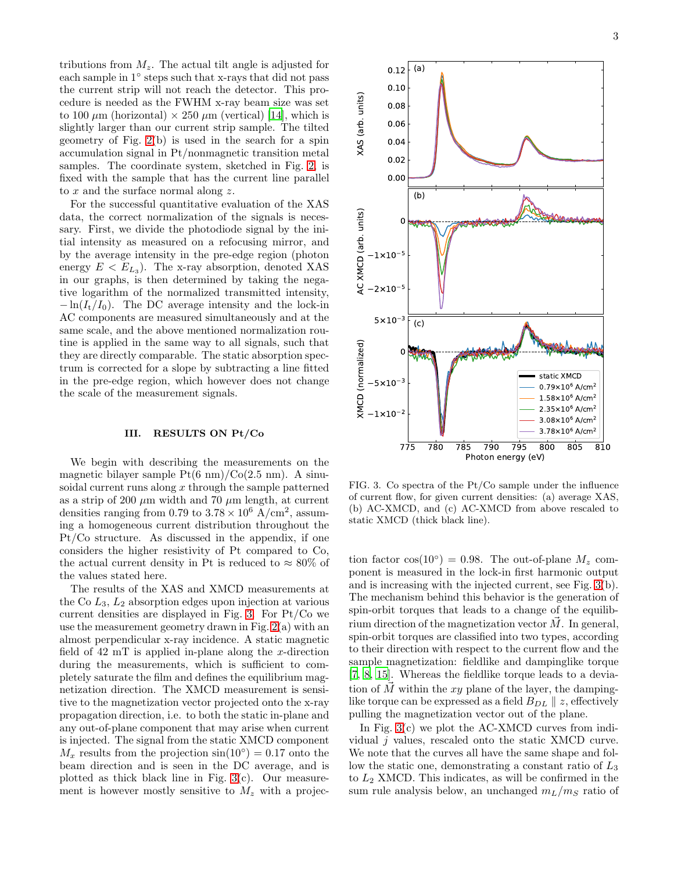tributions from  $M_z$ . The actual tilt angle is adjusted for each sample in 1° steps such that x-rays that did not pass the current strip will not reach the detector. This procedure is needed as the FWHM x-ray beam size was set to 100  $\mu$ m (horizontal)  $\times$  250  $\mu$ m (vertical) [\[14\]](#page-7-11), which is slightly larger than our current strip sample. The tilted geometry of Fig. [2\(](#page-1-1)b) is used in the search for a spin accumulation signal in Pt/nonmagnetic transition metal samples. The coordinate system, sketched in Fig. [2,](#page-1-1) is fixed with the sample that has the current line parallel to x and the surface normal along  $z$ .

For the successful quantitative evaluation of the XAS data, the correct normalization of the signals is necessary. First, we divide the photodiode signal by the initial intensity as measured on a refocusing mirror, and by the average intensity in the pre-edge region (photon energy  $E < E_{L_3}$ ). The x-ray absorption, denoted XAS in our graphs, is then determined by taking the negative logarithm of the normalized transmitted intensity,  $-\ln(I_t/I_0)$ . The DC average intensity and the lock-in AC components are measured simultaneously and at the same scale, and the above mentioned normalization routine is applied in the same way to all signals, such that they are directly comparable. The static absorption spectrum is corrected for a slope by subtracting a line fitted in the pre-edge region, which however does not change the scale of the measurement signals.

## III. RESULTS ON Pt/Co

We begin with describing the measurements on the magnetic bilayer sample  $Pt(6 \text{ nm})/Co(2.5 \text{ nm})$ . A sinusoidal current runs along  $x$  through the sample patterned as a strip of 200  $\mu$ m width and 70  $\mu$ m length, at current densities ranging from 0.79 to  $3.78 \times 10^6$  A/cm<sup>2</sup>, assuming a homogeneous current distribution throughout the Pt/Co structure. As discussed in the appendix, if one considers the higher resistivity of Pt compared to Co, the actual current density in Pt is reduced to  $\approx 80\%$  of the values stated here.

The results of the XAS and XMCD measurements at the Co  $L_3$ ,  $L_2$  absorption edges upon injection at various current densities are displayed in Fig. [3.](#page-2-0) For Pt/Co we use the measurement geometry drawn in Fig. [2\(](#page-1-1)a) with an almost perpendicular x-ray incidence. A static magnetic field of  $42 \text{ mT}$  is applied in-plane along the x-direction during the measurements, which is sufficient to completely saturate the film and defines the equilibrium magnetization direction. The XMCD measurement is sensitive to the magnetization vector projected onto the x-ray propagation direction, i.e. to both the static in-plane and any out-of-plane component that may arise when current is injected. The signal from the static XMCD component  $M_x$  results from the projection  $\sin(10^\circ) = 0.17$  onto the beam direction and is seen in the DC average, and is plotted as thick black line in Fig.  $3(c)$ . Our measurement is however mostly sensitive to  $M_z$  with a projec-



<span id="page-2-0"></span>FIG. 3. Co spectra of the Pt/Co sample under the influence of current flow, for given current densities: (a) average XAS, (b) AC-XMCD, and (c) AC-XMCD from above rescaled to static XMCD (thick black line).

tion factor  $cos(10^{\circ}) = 0.98$ . The out-of-plane  $M_z$  component is measured in the lock-in first harmonic output and is increasing with the injected current, see Fig. [3\(](#page-2-0)b). The mechanism behind this behavior is the generation of spin-orbit torques that leads to a change of the equilibrium direction of the magnetization vector  $\vec{M}$ . In general, spin-orbit torques are classified into two types, according to their direction with respect to the current flow and the sample magnetization: fieldlike and dampinglike torque [\[7,](#page-7-6) [8](#page-7-12), [15](#page-7-13)]. Whereas the fieldlike torque leads to a deviation of  $\tilde{M}$  within the xy plane of the layer, the dampinglike torque can be expressed as a field  $B_{DL} \parallel z$ , effectively pulling the magnetization vector out of the plane.

In Fig. [3\(](#page-2-0)c) we plot the AC-XMCD curves from individual j values, rescaled onto the static XMCD curve. We note that the curves all have the same shape and follow the static one, demonstrating a constant ratio of  $L_3$ to  $L_2$  XMCD. This indicates, as will be confirmed in the sum rule analysis below, an unchanged  $m_L/m_S$  ratio of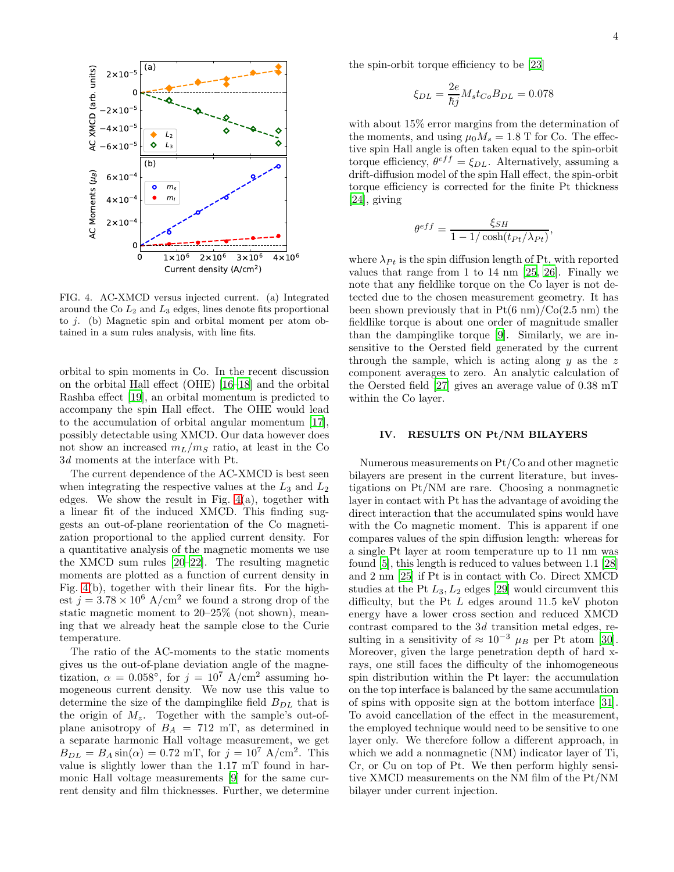



<span id="page-3-0"></span>FIG. 4. AC-XMCD versus injected current. (a) Integrated around the Co  $L_2$  and  $L_3$  edges, lines denote fits proportional to  $j$ . (b) Magnetic spin and orbital moment per atom obtained in a sum rules analysis, with line fits.

orbital to spin moments in Co. In the recent discussion on the orbital Hall effect (OHE) [\[16](#page-7-14)[–18\]](#page-7-15) and the orbital Rashba effect [\[19\]](#page-7-16), an orbital momentum is predicted to accompany the spin Hall effect. The OHE would lead to the accumulation of orbital angular momentum [\[17\]](#page-7-17), possibly detectable using XMCD. Our data however does not show an increased  $m_L/m_S$  ratio, at least in the Co 3d moments at the interface with Pt.

The current dependence of the AC-XMCD is best seen when integrating the respective values at the  $L_3$  and  $L_2$ edges. We show the result in Fig. [4\(](#page-3-0)a), together with a linear fit of the induced XMCD. This finding suggests an out-of-plane reorientation of the Co magnetization proportional to the applied current density. For a quantitative analysis of the magnetic moments we use the XMCD sum rules [\[20](#page-7-18)[–22\]](#page-7-19). The resulting magnetic moments are plotted as a function of current density in Fig. [4\(](#page-3-0)b), together with their linear fits. For the highest  $j = 3.78 \times 10^6$  A/cm<sup>2</sup> we found a strong drop of the static magnetic moment to 20–25% (not shown), meaning that we already heat the sample close to the Curie temperature.

The ratio of the AC-moments to the static moments gives us the out-of-plane deviation angle of the magnetization,  $\alpha = 0.058^{\circ}$ , for  $j = 10^{7}$  A/cm<sup>2</sup> assuming homogeneous current density. We now use this value to determine the size of the dampinglike field  $B_{DL}$  that is the origin of  $M_z$ . Together with the sample's out-ofplane anisotropy of  $B_A = 712$  mT, as determined in a separate harmonic Hall voltage measurement, we get  $B_{DL} = B_A \sin(\alpha) = 0.72 \text{ mT}$ , for  $j = 10^7 \text{ A/cm}^2$ . This value is slightly lower than the 1.17 mT found in harmonic Hall voltage measurements [\[9\]](#page-7-20) for the same current density and film thicknesses. Further, we determine the spin-orbit torque efficiency to be [\[23](#page-7-21)]

$$
\xi_{DL} = \frac{2e}{\hbar j} M_s t_{Co} B_{DL} = 0.078
$$

with about 15% error margins from the determination of the moments, and using  $\mu_0 M_s = 1.8$  T for Co. The effective spin Hall angle is often taken equal to the spin-orbit torque efficiency,  $\theta^{eff} = \xi_{DL}$ . Alternatively, assuming a drift-diffusion model of the spin Hall effect, the spin-orbit torque efficiency is corrected for the finite Pt thickness [\[24\]](#page-7-22), giving

$$
\theta^{eff} = \frac{\xi_{SH}}{1 - 1/\cosh(t_{Pt}/\lambda_{Pt})},
$$

where  $\lambda_{Pt}$  is the spin diffusion length of Pt, with reported values that range from 1 to 14 nm [\[25,](#page-7-23) [26](#page-7-24)]. Finally we note that any fieldlike torque on the Co layer is not detected due to the chosen measurement geometry. It has been shown previously that in  $Pt(6 \text{ nm})/Co(2.5 \text{ nm})$  the fieldlike torque is about one order of magnitude smaller than the dampinglike torque [\[9](#page-7-20)]. Similarly, we are insensitive to the Oersted field generated by the current through the sample, which is acting along  $y$  as the z component averages to zero. An analytic calculation of the Oersted field [\[27\]](#page-7-25) gives an average value of 0.38 mT within the Co layer.

## IV. RESULTS ON Pt/NM BILAYERS

Numerous measurements on Pt/Co and other magnetic bilayers are present in the current literature, but investigations on Pt/NM are rare. Choosing a nonmagnetic layer in contact with Pt has the advantage of avoiding the direct interaction that the accumulated spins would have with the Co magnetic moment. This is apparent if one compares values of the spin diffusion length: whereas for a single Pt layer at room temperature up to 11 nm was found [\[5\]](#page-7-4), this length is reduced to values between 1.1 [\[28](#page-7-26)] and 2 nm [\[25\]](#page-7-23) if Pt is in contact with Co. Direct XMCD studies at the Pt  $L_3, L_2$  edges [\[29](#page-7-27)] would circumvent this difficulty, but the Pt  $L$  edges around 11.5 keV photon energy have a lower cross section and reduced XMCD contrast compared to the 3d transition metal edges, resulting in a sensitivity of  $\approx 10^{-3} \mu_B$  per Pt atom [\[30\]](#page-7-28). Moreover, given the large penetration depth of hard xrays, one still faces the difficulty of the inhomogeneous spin distribution within the Pt layer: the accumulation on the top interface is balanced by the same accumulation of spins with opposite sign at the bottom interface [\[31\]](#page-7-29). To avoid cancellation of the effect in the measurement, the employed technique would need to be sensitive to one layer only. We therefore follow a different approach, in which we add a nonmagnetic (NM) indicator layer of Ti, Cr, or Cu on top of Pt. We then perform highly sensitive XMCD measurements on the NM film of the Pt/NM bilayer under current injection.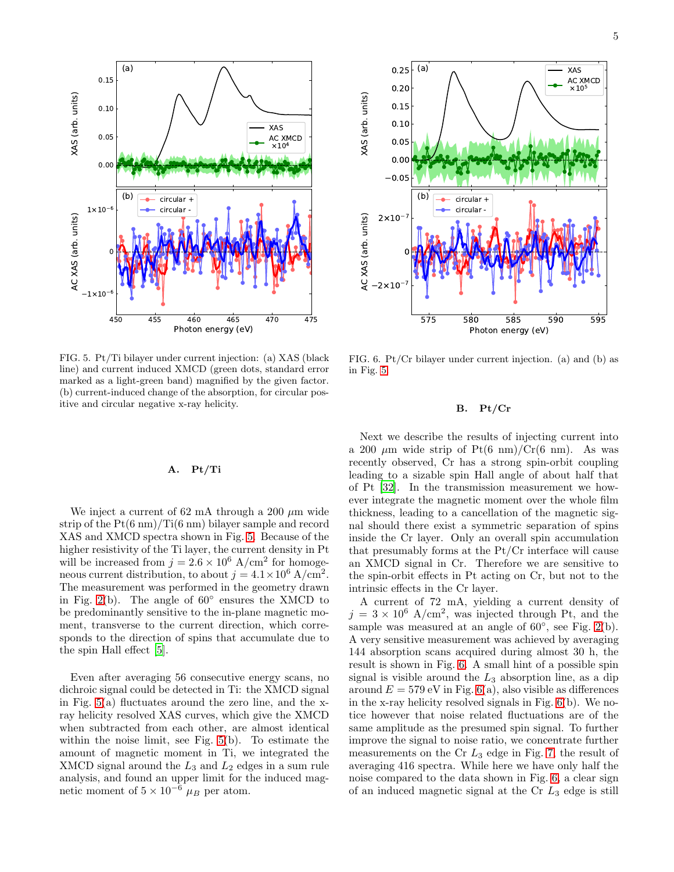

<span id="page-4-0"></span>FIG. 5. Pt/Ti bilayer under current injection: (a) XAS (black line) and current induced XMCD (green dots, standard error marked as a light-green band) magnified by the given factor. (b) current-induced change of the absorption, for circular positive and circular negative x-ray helicity.

## A. Pt/Ti

We inject a current of 62 mA through a 200  $\mu$ m wide strip of the  $Pt(6 \text{ nm})/Ti(6 \text{ nm})$  bilayer sample and record XAS and XMCD spectra shown in Fig. [5.](#page-4-0) Because of the higher resistivity of the Ti layer, the current density in Pt will be increased from  $j = 2.6 \times 10^6$  A/cm<sup>2</sup> for homogeneous current distribution, to about  $j = 4.1 \times 10^6$  A/cm<sup>2</sup>. The measurement was performed in the geometry drawn in Fig. [2\(](#page-1-1)b). The angle of  $60^\circ$  ensures the XMCD to be predominantly sensitive to the in-plane magnetic moment, transverse to the current direction, which corresponds to the direction of spins that accumulate due to the spin Hall effect [\[5\]](#page-7-4).

Even after averaging 56 consecutive energy scans, no dichroic signal could be detected in Ti: the XMCD signal in Fig. [5\(](#page-4-0)a) fluctuates around the zero line, and the xray helicity resolved XAS curves, which give the XMCD when subtracted from each other, are almost identical within the noise limit, see Fig. [5\(](#page-4-0)b). To estimate the amount of magnetic moment in Ti, we integrated the XMCD signal around the  $L_3$  and  $L_2$  edges in a sum rule analysis, and found an upper limit for the induced magnetic moment of  $5 \times 10^{-6}$   $\mu_B$  per atom.



<span id="page-4-1"></span>FIG. 6. Pt/Cr bilayer under current injection. (a) and (b) as in Fig. [5.](#page-4-0)

## B. Pt/Cr

Next we describe the results of injecting current into a 200  $\mu$ m wide strip of Pt(6 nm)/Cr(6 nm). As was recently observed, Cr has a strong spin-orbit coupling leading to a sizable spin Hall angle of about half that of Pt [\[32\]](#page-7-30). In the transmission measurement we however integrate the magnetic moment over the whole film thickness, leading to a cancellation of the magnetic signal should there exist a symmetric separation of spins inside the Cr layer. Only an overall spin accumulation that presumably forms at the Pt/Cr interface will cause an XMCD signal in Cr. Therefore we are sensitive to the spin-orbit effects in Pt acting on Cr, but not to the intrinsic effects in the Cr layer.

A current of 72 mA, yielding a current density of  $j = 3 \times 10^6$  A/cm<sup>2</sup>, was injected through Pt, and the sample was measured at an angle of  $60^{\circ}$ , see Fig. [2\(](#page-1-1)b). A very sensitive measurement was achieved by averaging 144 absorption scans acquired during almost 30 h, the result is shown in Fig. [6.](#page-4-1) A small hint of a possible spin signal is visible around the  $L_3$  absorption line, as a dip around  $E = 579$  eV in Fig. [6\(](#page-4-1)a), also visible as differences in the x-ray helicity resolved signals in Fig. [6\(](#page-4-1)b). We notice however that noise related fluctuations are of the same amplitude as the presumed spin signal. To further improve the signal to noise ratio, we concentrate further measurements on the  $Cr L_3$  edge in Fig. [7,](#page-5-0) the result of averaging 416 spectra. While here we have only half the noise compared to the data shown in Fig. [6,](#page-4-1) a clear sign of an induced magnetic signal at the  $Cr L_3$  edge is still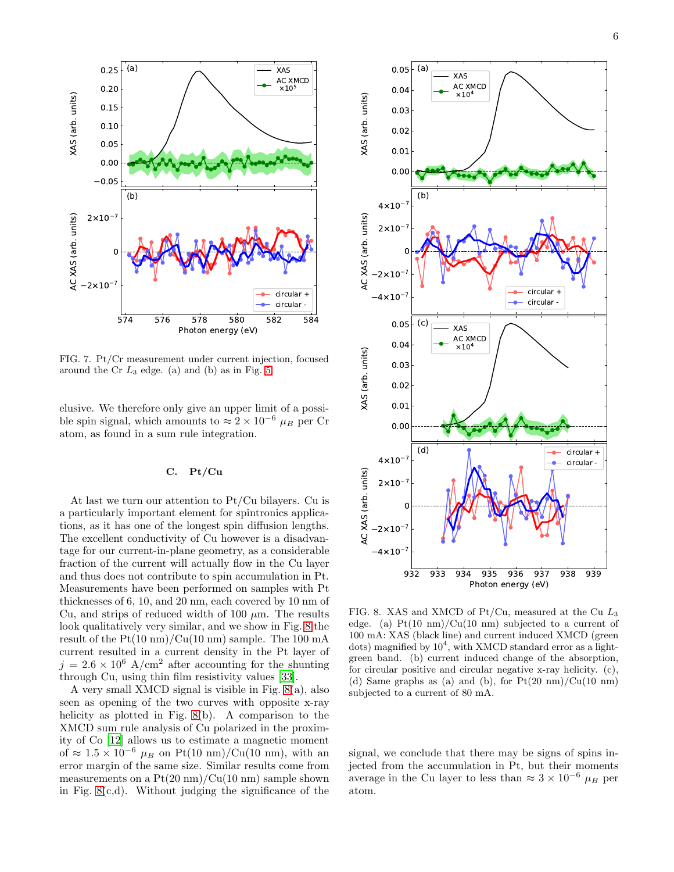

<span id="page-5-0"></span>FIG. 7. Pt/Cr measurement under current injection, focused around the Cr  $L_3$  edge. (a) and (b) as in Fig. [5.](#page-4-0)

elusive. We therefore only give an upper limit of a possible spin signal, which amounts to  $\approx 2 \times 10^{-6}$   $\mu_B$  per Cr atom, as found in a sum rule integration.

# C. Pt/Cu

At last we turn our attention to Pt/Cu bilayers. Cu is a particularly important element for spintronics applications, as it has one of the longest spin diffusion lengths. The excellent conductivity of Cu however is a disadvantage for our current-in-plane geometry, as a considerable fraction of the current will actually flow in the Cu layer and thus does not contribute to spin accumulation in Pt. Measurements have been performed on samples with Pt thicknesses of 6, 10, and 20 nm, each covered by 10 nm of Cu, and strips of reduced width of 100  $\mu$ m. The results look qualitatively very similar, and we show in Fig. [8](#page-5-1) the result of the  $Pt(10 \text{ nm})/Cu(10 \text{ nm})$  sample. The 100 mA current resulted in a current density in the Pt layer of  $j = 2.6 \times 10^6$  A/cm<sup>2</sup> after accounting for the shunting through Cu, using thin film resistivity values [\[33\]](#page-7-31).

A very small XMCD signal is visible in Fig. [8\(](#page-5-1)a), also seen as opening of the two curves with opposite x-ray helicity as plotted in Fig. [8\(](#page-5-1)b). A comparison to the XMCD sum rule analysis of Cu polarized in the proximity of Co [\[12\]](#page-7-9) allows us to estimate a magnetic moment of  $\approx 1.5 \times 10^{-6}$   $\mu_B$  on Pt(10 nm)/Cu(10 nm), with an error margin of the same size. Similar results come from measurements on a  $Pt(20 \text{ nm})/Cu(10 \text{ nm})$  sample shown in Fig.  $8(c,d)$ . Without judging the significance of the



<span id="page-5-1"></span>FIG. 8. XAS and XMCD of Pt/Cu, measured at the Cu  $L_3$ edge. (a)  $Pt(10 \text{ nm})/Cu(10 \text{ nm})$  subjected to a current of 100 mA: XAS (black line) and current induced XMCD (green dots) magnified by  $10^4$ , with XMCD standard error as a lightgreen band. (b) current induced change of the absorption, for circular positive and circular negative x-ray helicity. (c), (d) Same graphs as (a) and (b), for  $Pt(20 \text{ nm})/Cu(10 \text{ nm})$ subjected to a current of 80 mA.

signal, we conclude that there may be signs of spins injected from the accumulation in Pt, but their moments average in the Cu layer to less than  $\approx 3 \times 10^{-6} \mu_B$  per atom.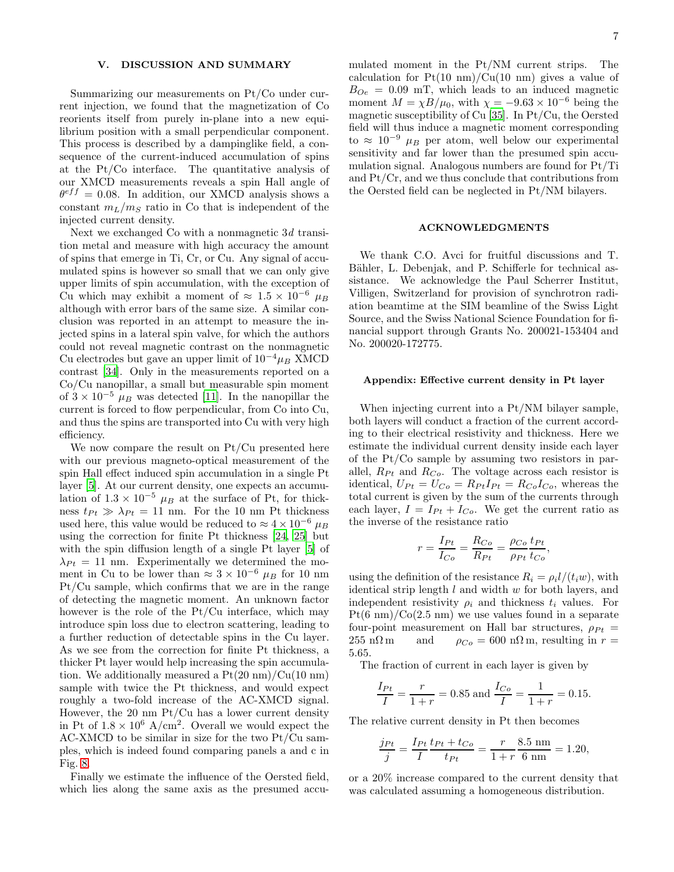## V. DISCUSSION AND SUMMARY

Summarizing our measurements on Pt/Co under current injection, we found that the magnetization of Co reorients itself from purely in-plane into a new equilibrium position with a small perpendicular component. This process is described by a dampinglike field, a consequence of the current-induced accumulation of spins at the Pt/Co interface. The quantitative analysis of our XMCD measurements reveals a spin Hall angle of  $\theta^{eff} = 0.08$ . In addition, our XMCD analysis shows a constant  $m_L/m_S$  ratio in Co that is independent of the injected current density.

Next we exchanged Co with a nonmagnetic 3d transition metal and measure with high accuracy the amount of spins that emerge in Ti, Cr, or Cu. Any signal of accumulated spins is however so small that we can only give upper limits of spin accumulation, with the exception of Cu which may exhibit a moment of  $\approx 1.5 \times 10^{-6} \mu_B$ although with error bars of the same size. A similar conclusion was reported in an attempt to measure the injected spins in a lateral spin valve, for which the authors could not reveal magnetic contrast on the nonmagnetic Cu electrodes but gave an upper limit of  $10^{-4} \mu_B$  XMCD contrast [\[34\]](#page-7-32). Only in the measurements reported on a Co/Cu nanopillar, a small but measurable spin moment of  $3 \times 10^{-5}$   $\mu_B$  was detected [\[11\]](#page-7-8). In the nanopillar the current is forced to flow perpendicular, from Co into Cu, and thus the spins are transported into Cu with very high efficiency.

We now compare the result on Pt/Cu presented here with our previous magneto-optical measurement of the spin Hall effect induced spin accumulation in a single Pt layer [\[5](#page-7-4)]. At our current density, one expects an accumulation of  $1.3 \times 10^{-5}$   $\mu_B$  at the surface of Pt, for thickness  $t_{Pt} \gg \lambda_{Pt} = 11$  nm. For the 10 nm Pt thickness used here, this value would be reduced to  $\approx 4 \times 10^{-6} \mu_B$ using the correction for finite Pt thickness [\[24](#page-7-22), [25](#page-7-23)] but with the spin diffusion length of a single Pt layer [\[5](#page-7-4)] of  $\lambda_{Pt} = 11$  nm. Experimentally we determined the moment in Cu to be lower than  $\approx 3 \times 10^{-6}$   $\mu_B$  for 10 nm Pt/Cu sample, which confirms that we are in the range of detecting the magnetic moment. An unknown factor however is the role of the Pt/Cu interface, which may introduce spin loss due to electron scattering, leading to a further reduction of detectable spins in the Cu layer. As we see from the correction for finite Pt thickness, a thicker Pt layer would help increasing the spin accumulation. We additionally measured a  $Pt(20 \text{ nm})/Cu(10 \text{ nm})$ sample with twice the Pt thickness, and would expect roughly a two-fold increase of the AC-XMCD signal. However, the 20 nm Pt/Cu has a lower current density in Pt of  $1.8 \times 10^6$  A/cm<sup>2</sup>. Overall we would expect the AC-XMCD to be similar in size for the two Pt/Cu samples, which is indeed found comparing panels a and c in Fig. [8.](#page-5-1)

Finally we estimate the influence of the Oersted field, which lies along the same axis as the presumed accu-

mulated moment in the Pt/NM current strips. The calculation for  $Pt(10 \text{ nm})/Cu(10 \text{ nm})$  gives a value of  $B_{Oe} = 0.09$  mT, which leads to an induced magnetic moment  $M = \chi B/\mu_0$ , with  $\chi = -9.63 \times 10^{-6}$  being the magnetic susceptibility of Cu [\[35\]](#page-7-33). In Pt/Cu, the Oersted field will thus induce a magnetic moment corresponding to ≈  $10^{-9}$   $\mu_B$  per atom, well below our experimental sensitivity and far lower than the presumed spin accumulation signal. Analogous numbers are found for Pt/Ti and Pt/Cr, and we thus conclude that contributions from the Oersted field can be neglected in Pt/NM bilayers.

### ACKNOWLEDGMENTS

We thank C.O. Avci for fruitful discussions and T. Bähler, L. Debenjak, and P. Schifferle for technical assistance. We acknowledge the Paul Scherrer Institut, Villigen, Switzerland for provision of synchrotron radiation beamtime at the SIM beamline of the Swiss Light Source, and the Swiss National Science Foundation for financial support through Grants No. 200021-153404 and No. 200020-172775.

#### Appendix: Effective current density in Pt layer

When injecting current into a Pt/NM bilayer sample, both layers will conduct a fraction of the current according to their electrical resistivity and thickness. Here we estimate the individual current density inside each layer of the Pt/Co sample by assuming two resistors in parallel,  $R_{Pt}$  and  $R_{Co}$ . The voltage across each resistor is identical,  $U_{Pt} = U_{Co} = R_{Pt}I_{Pt} = R_{Co}I_{Co}$ , whereas the total current is given by the sum of the currents through each layer,  $I = I_{Pt} + I_{Co}$ . We get the current ratio as the inverse of the resistance ratio

$$
r = \frac{I_{Pt}}{I_{Co}} = \frac{R_{Co}}{R_{Pt}} = \frac{\rho_{Co}}{\rho_{Pt}} \frac{t_{Pt}}{t_{Co}},
$$

using the definition of the resistance  $R_i = \rho_i l/(t_i w)$ , with identical strip length  $l$  and width  $w$  for both layers, and independent resistivity  $\rho_i$  and thickness  $t_i$  values. For  $Pt(6 \text{ nm})/Co(2.5 \text{ nm})$  we use values found in a separate four-point measurement on Hall bar structures,  $\rho_{Pt} = 255 \text{ n}\Omega \text{ m}$  and  $\rho_{Co} = 600 \text{ n}\Omega \text{ m}$ , resulting in  $r =$ and  $\rho_{Co} = 600 \text{ n}\Omega \text{m}$ , resulting in  $r =$ 5.65.

The fraction of current in each layer is given by

$$
\frac{I_{Pt}}{I} = \frac{r}{1+r} = 0.85 \text{ and } \frac{I_{Co}}{I} = \frac{1}{1+r} = 0.15.
$$

The relative current density in Pt then becomes

$$
\frac{j_{Pt}}{j} = \frac{I_{Pt}}{I} \frac{t_{Pt} + t_{Co}}{t_{Pt}} = \frac{r}{1+r} \frac{8.5 \text{ nm}}{6 \text{ nm}} = 1.20,
$$

or a 20% increase compared to the current density that was calculated assuming a homogeneous distribution.